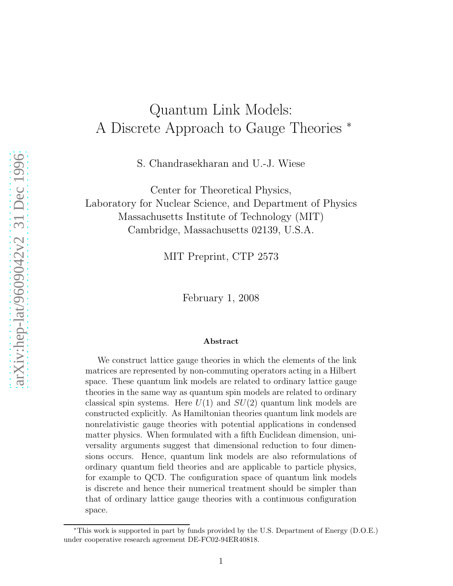# Quantum Link Models: A Discrete Approach to Gauge Theories <sup>∗</sup>

S. Chandrasekharan and U.-J. Wiese

Center for Theoretical Physics, Laboratory for Nuclear Science, and Department of Physics Massachusetts Institute of Technology (MIT) Cambridge, Massachusetts 02139, U.S.A.

MIT Preprint, CTP 2573

February 1, 2008

#### Abstract

We construct lattice gauge theories in which the elements of the link matrices are represented by non-commuting operators acting in a Hilbert space. These quantum link models are related to ordinary lattice gauge theories in the same way as quantum spin models are related to ordinary classical spin systems. Here  $U(1)$  and  $SU(2)$  quantum link models are constructed explicitly. As Hamiltonian theories quantum link models are nonrelativistic gauge theories with potential applications in condensed matter physics. When formulated with a fifth Euclidean dimension, universality arguments suggest that dimensional reduction to four dimensions occurs. Hence, quantum link models are also reformulations of ordinary quantum field theories and are applicable to particle physics, for example to QCD. The configuration space of quantum link models is discrete and hence their numerical treatment should be simpler than that of ordinary lattice gauge theories with a continuous configuration space.

<sup>∗</sup>This work is supported in part by funds provided by the U.S. Department of Energy (D.O.E.) under cooperative research agreement DE-FC02-94ER40818.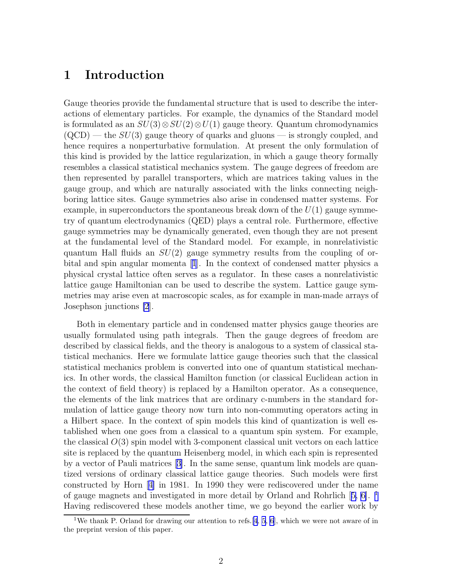# 1 Introduction

Gauge theories provide the fundamental structure that is used to describe the interactions of elementary particles. For example, the dynamics of the Standard model is formulated as an  $SU(3) \otimes SU(2) \otimes U(1)$  gauge theory. Quantum chromodynamics  $(QCD)$  — the  $SU(3)$  gauge theory of quarks and gluons — is strongly coupled, and hence requires a nonperturbative formulation. At present the only formulation of this kind is provided by the lattice regularization, in which a gauge theory formally resembles a classical statistical mechanics system. The gauge degrees of freedom are then represented by parallel transporters, which are matrices taking values in the gauge group, and which are naturally associated with the links connecting neighboring lattice sites. Gauge symmetries also arise in condensed matter systems. For example, in superconductors the spontaneous break down of the  $U(1)$  gauge symmetry of quantum electrodynamics (QED) plays a central role. Furthermore, effective gauge symmetries may be dynamically generated, even though they are not present at the fundamental level of the Standard model. For example, in nonrelativistic quantum Hall fluids an  $SU(2)$  gauge symmetry results from the coupling of orbital and spin angular momenta[[1](#page-15-0)]. In the context of condensed matter physics a physical crystal lattice often serves as a regulator. In these cases a nonrelativistic lattice gauge Hamiltonian can be used to describe the system. Lattice gauge symmetries may arise even at macroscopic scales, as for example in man-made arrays of Josephson junctions [\[2](#page-16-0)].

Both in elementary particle and in condensed matter physics gauge theories are usually formulated using path integrals. Then the gauge degrees of freedom are described by classical fields, and the theory is analogous to a system of classical statistical mechanics. Here we formulate lattice gauge theories such that the classical statistical mechanics problem is converted into one of quantum statistical mechanics. In other words, the classical Hamilton function (or classical Euclidean action in the context of field theory) is replaced by a Hamilton operator. As a consequence, the elements of the link matrices that are ordinary c-numbers in the standard formulation of lattice gauge theory now turn into non-commuting operators acting in a Hilbert space. In the context of spin models this kind of quantization is well established when one goes from a classical to a quantum spin system. For example, the classical  $O(3)$  spin model with 3-component classical unit vectors on each lattice site is replaced by the quantum Heisenberg model, in which each spin is represented by a vector of Pauli matrices[[3\]](#page-16-0). In the same sense, quantum link models are quantized versions of ordinary classical lattice gauge theories. Such models were first constructed by Horn[[4\]](#page-16-0) in 1981. In 1990 they were rediscovered under the name of gauge magnets and investigated in more detail by Orland and Rohrlich[[5, 6](#page-16-0)]. <sup>1</sup> Having rediscovered these models another time, we go beyond the earlier work by

<sup>&</sup>lt;sup>1</sup>We thank P. Orland for drawing our attention to refs. [\[4](#page-16-0), [5](#page-16-0), [6](#page-16-0)], which we were not aware of in the preprint version of this paper.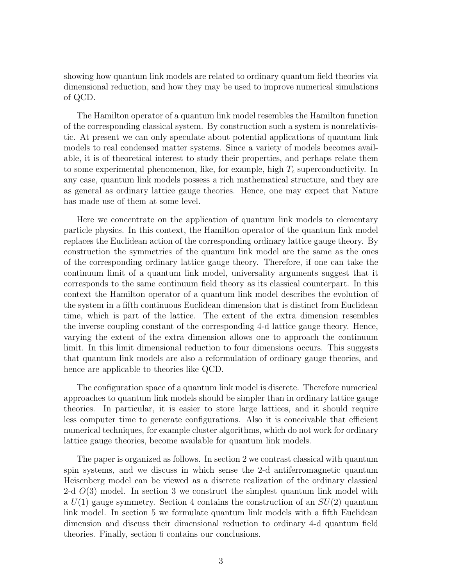showing how quantum link models are related to ordinary quantum field theories via dimensional reduction, and how they may be used to improve numerical simulations of QCD.

The Hamilton operator of a quantum link model resembles the Hamilton function of the corresponding classical system. By construction such a system is nonrelativistic. At present we can only speculate about potential applications of quantum link models to real condensed matter systems. Since a variety of models becomes available, it is of theoretical interest to study their properties, and perhaps relate them to some experimental phenomenon, like, for example, high  $T_c$  superconductivity. In any case, quantum link models possess a rich mathematical structure, and they are as general as ordinary lattice gauge theories. Hence, one may expect that Nature has made use of them at some level.

Here we concentrate on the application of quantum link models to elementary particle physics. In this context, the Hamilton operator of the quantum link model replaces the Euclidean action of the corresponding ordinary lattice gauge theory. By construction the symmetries of the quantum link model are the same as the ones of the corresponding ordinary lattice gauge theory. Therefore, if one can take the continuum limit of a quantum link model, universality arguments suggest that it corresponds to the same continuum field theory as its classical counterpart. In this context the Hamilton operator of a quantum link model describes the evolution of the system in a fifth continuous Euclidean dimension that is distinct from Euclidean time, which is part of the lattice. The extent of the extra dimension resembles the inverse coupling constant of the corresponding 4-d lattice gauge theory. Hence, varying the extent of the extra dimension allows one to approach the continuum limit. In this limit dimensional reduction to four dimensions occurs. This suggests that quantum link models are also a reformulation of ordinary gauge theories, and hence are applicable to theories like QCD.

The configuration space of a quantum link model is discrete. Therefore numerical approaches to quantum link models should be simpler than in ordinary lattice gauge theories. In particular, it is easier to store large lattices, and it should require less computer time to generate configurations. Also it is conceivable that efficient numerical techniques, for example cluster algorithms, which do not work for ordinary lattice gauge theories, become available for quantum link models.

The paper is organized as follows. In section 2 we contrast classical with quantum spin systems, and we discuss in which sense the 2-d antiferromagnetic quantum Heisenberg model can be viewed as a discrete realization of the ordinary classical 2-d  $O(3)$  model. In section 3 we construct the simplest quantum link model with a  $U(1)$  gauge symmetry. Section 4 contains the construction of an  $SU(2)$  quantum link model. In section 5 we formulate quantum link models with a fifth Euclidean dimension and discuss their dimensional reduction to ordinary 4-d quantum field theories. Finally, section 6 contains our conclusions.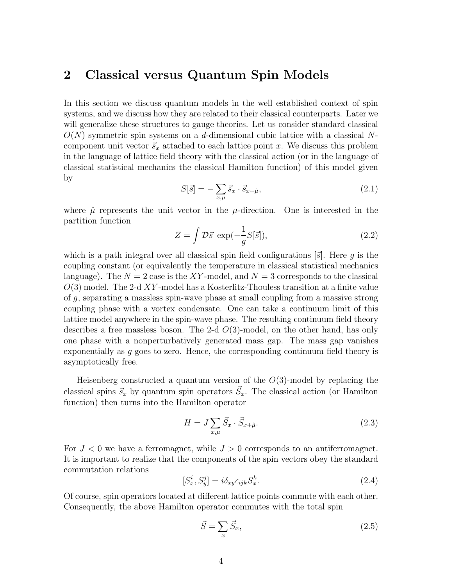### 2 Classical versus Quantum Spin Models

In this section we discuss quantum models in the well established context of spin systems, and we discuss how they are related to their classical counterparts. Later we will generalize these structures to gauge theories. Let us consider standard classical  $O(N)$  symmetric spin systems on a d-dimensional cubic lattice with a classical Ncomponent unit vector  $\vec{s}_x$  attached to each lattice point x. We discuss this problem in the language of lattice field theory with the classical action (or in the language of classical statistical mechanics the classical Hamilton function) of this model given by

$$
S[\vec{s}] = -\sum_{x,\mu} \vec{s}_x \cdot \vec{s}_{x+\hat{\mu}},\tag{2.1}
$$

where  $\hat{\mu}$  represents the unit vector in the  $\mu$ -direction. One is interested in the partition function

$$
Z = \int \mathcal{D}\vec{s} \exp(-\frac{1}{g}S[\vec{s}]), \qquad (2.2)
$$

which is a path integral over all classical spin field configurations  $\vec{s}$ . Here g is the coupling constant (or equivalently the temperature in classical statistical mechanics language). The  $N = 2$  case is the XY-model, and  $N = 3$  corresponds to the classical  $O(3)$  model. The 2-d XY-model has a Kosterlitz-Thouless transition at a finite value of g, separating a massless spin-wave phase at small coupling from a massive strong coupling phase with a vortex condensate. One can take a continuum limit of this lattice model anywhere in the spin-wave phase. The resulting continuum field theory describes a free massless boson. The 2-d  $O(3)$ -model, on the other hand, has only one phase with a nonperturbatively generated mass gap. The mass gap vanishes exponentially as g goes to zero. Hence, the corresponding continuum field theory is asymptotically free.

Heisenberg constructed a quantum version of the  $O(3)$ -model by replacing the classical spins  $\vec{s}_x$  by quantum spin operators  $\vec{S}_x$ . The classical action (or Hamilton function) then turns into the Hamilton operator

$$
H = J \sum_{x,\mu} \vec{S}_x \cdot \vec{S}_{x+\hat{\mu}}.
$$
\n(2.3)

For  $J < 0$  we have a ferromagnet, while  $J > 0$  corresponds to an antiferromagnet. It is important to realize that the components of the spin vectors obey the standard commutation relations

$$
[S_x^i, S_y^j] = i\delta_{xy}\epsilon_{ijk}S_x^k.
$$
\n(2.4)

Of course, spin operators located at different lattice points commute with each other. Consequently, the above Hamilton operator commutes with the total spin

$$
\vec{S} = \sum_{x} \vec{S}_x,\tag{2.5}
$$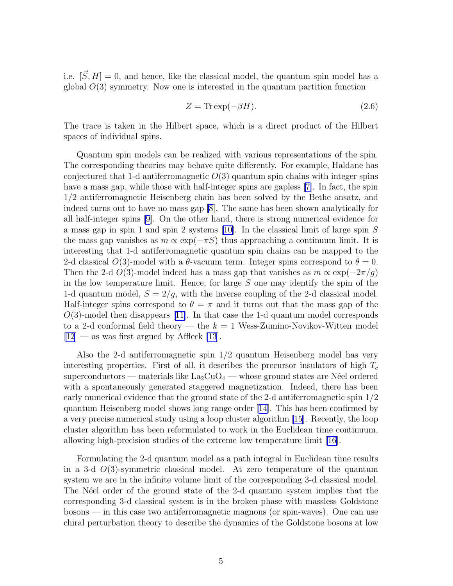i.e.  $[\vec{S}, H] = 0$ , and hence, like the classical model, the quantum spin model has a global  $O(3)$  symmetry. Now one is interested in the quantum partition function

$$
Z = \text{Tr}\exp(-\beta H). \tag{2.6}
$$

The trace is taken in the Hilbert space, which is a direct product of the Hilbert spaces of individual spins.

Quantum spin models can be realized with various representations of the spin. The corresponding theories may behave quite differently. For example, Haldane has conjectured that 1-d antiferromagnetic  $O(3)$  quantum spin chains with integer spins have a mass gap, while those with half-integer spins are gapless [\[7](#page-16-0)]. In fact, the spin 1/2 antiferromagnetic Heisenberg chain has been solved by the Bethe ansatz, and indeed turns out to have no mass gap [\[8](#page-16-0)]. The same has been shown analytically for all half-integer spins [\[9](#page-16-0)]. On the other hand, there is strong numerical evidence for a mass gap in spin 1 and spin 2 systems [\[10\]](#page-16-0). In the classical limit of large spin S the mass gap vanishes as  $m \propto \exp(-\pi S)$  thus approaching a continuum limit. It is interesting that 1-d antiferromagnetic quantum spin chains can be mapped to the 2-d classical  $O(3)$ -model with a  $\theta$ -vacuum term. Integer spins correspond to  $\theta = 0$ . Then the 2-d  $O(3)$ -model indeed has a mass gap that vanishes as  $m \propto \exp(-2\pi/g)$ in the low temperature limit. Hence, for large  $S$  one may identify the spin of the 1-d quantum model,  $S = 2/q$ , with the inverse coupling of the 2-d classical model. Half-integer spins correspond to  $\theta = \pi$  and it turns out that the mass gap of the  $O(3)$ -model then disappears [\[11\]](#page-16-0). In that case the 1-d quantum model corresponds to a 2-d conformal field theory — the  $k = 1$  Wess-Zumino-Novikov-Witten model  $[12]$  $[12]$  — as was first argued by Affleck [\[13](#page-16-0)].

Also the 2-d antiferromagnetic spin 1/2 quantum Heisenberg model has very interesting properties. First of all, it describes the precursor insulators of high  $T_c$ superconductors — materials like  $\text{La}_2\text{CuO}_4$  — whose ground states are Néel ordered with a spontaneously generated staggered magnetization. Indeed, there has been early numerical evidence that the ground state of the 2-d antiferromagnetic spin 1/2 quantum Heisenberg model shows long range order[[14](#page-16-0)]. This has been confirmed by a very precise numerical study using a loop cluster algorithm [\[15](#page-16-0)]. Recently, the loop cluster algorithm has been reformulated to work in the Euclidean time continuum, allowing high-precision studies of the extreme low temperature limit [\[16\]](#page-16-0).

Formulating the 2-d quantum model as a path integral in Euclidean time results in a 3-d  $O(3)$ -symmetric classical model. At zero temperature of the quantum system we are in the infinite volume limit of the corresponding 3-d classical model. The N'eel order of the ground state of the 2-d quantum system implies that the corresponding 3-d classical system is in the broken phase with massless Goldstone bosons — in this case two antiferromagnetic magnons (or spin-waves). One can use chiral perturbation theory to describe the dynamics of the Goldstone bosons at low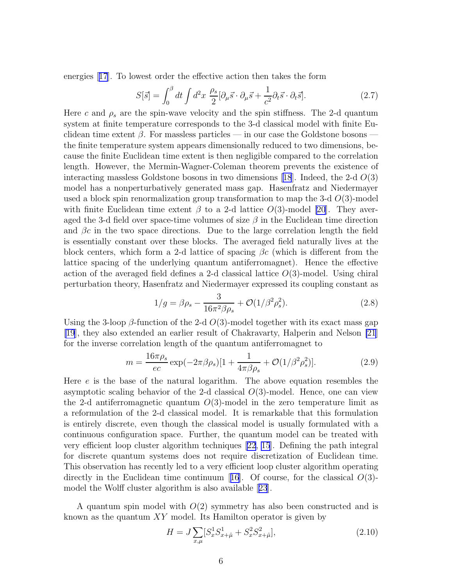<span id="page-5-0"></span>energies[[17](#page-16-0)]. To lowest order the effective action then takes the form

$$
S[\vec{s}] = \int_0^\beta dt \int d^2x \; \frac{\rho_s}{2} [\partial_\mu \vec{s} \cdot \partial_\mu \vec{s} + \frac{1}{c^2} \partial_t \vec{s} \cdot \partial_t \vec{s}]. \tag{2.7}
$$

Here c and  $\rho_s$  are the spin-wave velocity and the spin stiffness. The 2-d quantum system at finite temperature corresponds to the 3-d classical model with finite Euclidean time extent  $\beta$ . For massless particles — in our case the Goldstone bosons the finite temperature system appears dimensionally reduced to two dimensions, because the finite Euclidean time extent is then negligible compared to the correlation length. However, the Mermin-Wagner-Coleman theorem prevents the existence of interactingmassless Goldstone bosons in two dimensions [[18](#page-16-0)]. Indeed, the 2-d  $O(3)$ model has a nonperturbatively generated mass gap. Hasenfratz and Niedermayer used a block spin renormalization group transformation to map the 3-d  $O(3)$ -model with finite Euclidean time extent  $\beta$  to a 2-d lattice  $O(3)$ -model [\[20](#page-17-0)]. They averaged the 3-d field over space-time volumes of size  $\beta$  in the Euclidean time direction and  $\beta c$  in the two space directions. Due to the large correlation length the field is essentially constant over these blocks. The averaged field naturally lives at the block centers, which form a 2-d lattice of spacing  $\beta c$  (which is different from the lattice spacing of the underlying quantum antiferromagnet). Hence the effective action of the averaged field defines a 2-d classical lattice  $O(3)$ -model. Using chiral perturbation theory, Hasenfratz and Niedermayer expressed its coupling constant as

$$
1/g = \beta \rho_s - \frac{3}{16\pi^2 \beta \rho_s} + \mathcal{O}(1/\beta^2 \rho_s^2).
$$
 (2.8)

Using the 3-loop  $\beta$ -function of the 2-d  $O(3)$ -model together with its exact mass gap [\[19](#page-16-0)], they also extended an earlier result of Chakravarty, Halperin and Nelson [\[21](#page-17-0)] for the inverse correlation length of the quantum antiferromagnet to

$$
m = \frac{16\pi\rho_s}{ec} \exp(-2\pi\beta\rho_s)[1 + \frac{1}{4\pi\beta\rho_s} + \mathcal{O}(1/\beta^2\rho_s^2)].
$$
 (2.9)

Here  $e$  is the base of the natural logarithm. The above equation resembles the asymptotic scaling behavior of the 2-d classical  $O(3)$ -model. Hence, one can view the 2-d antiferromagnetic quantum  $O(3)$ -model in the zero temperature limit as a reformulation of the 2-d classical model. It is remarkable that this formulation is entirely discrete, even though the classical model is usually formulated with a continuous configuration space. Further, the quantum model can be treated with very efficient loop cluster algorithm techniques [\[22](#page-17-0), [15](#page-16-0)]. Defining the path integral for discrete quantum systems does not require discretization of Euclidean time. This observation has recently led to a very efficient loop cluster algorithm operating directlyin the Euclidean time continuum [[16](#page-16-0)]. Of course, for the classical  $O(3)$ model the Wolff cluster algorithm is also available[[23](#page-17-0)].

A quantum spin model with  $O(2)$  symmetry has also been constructed and is known as the quantum  $XY$  model. Its Hamilton operator is given by

$$
H = J \sum_{x,\mu} [S_x^1 S_{x+\hat{\mu}}^1 + S_x^2 S_{x+\hat{\mu}}^2],
$$
\n(2.10)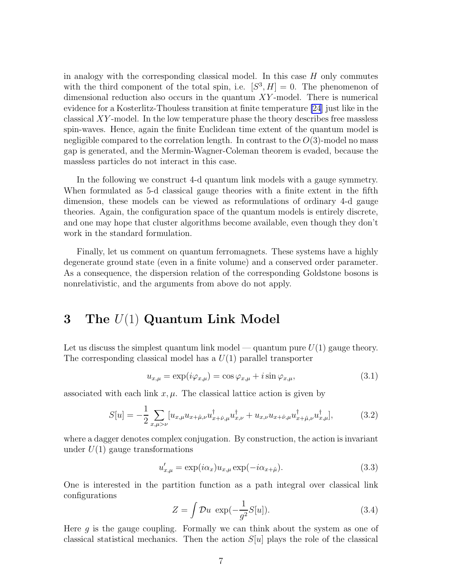in analogy with the corresponding classical model. In this case  $H$  only commutes with the third component of the total spin, i.e.  $[S^3, H] = 0$ . The phenomenon of dimensional reduction also occurs in the quantum  $XY$ -model. There is numerical evidence for a Kosterlitz-Thouless transition at finite temperature [\[24](#page-17-0)] just like in the classical XY -model. In the low temperature phase the theory describes free massless spin-waves. Hence, again the finite Euclidean time extent of the quantum model is negligible compared to the correlation length. In contrast to the  $O(3)$ -model no mass gap is generated, and the Mermin-Wagner-Coleman theorem is evaded, because the massless particles do not interact in this case.

In the following we construct 4-d quantum link models with a gauge symmetry. When formulated as 5-d classical gauge theories with a finite extent in the fifth dimension, these models can be viewed as reformulations of ordinary 4-d gauge theories. Again, the configuration space of the quantum models is entirely discrete, and one may hope that cluster algorithms become available, even though they don't work in the standard formulation.

Finally, let us comment on quantum ferromagnets. These systems have a highly degenerate ground state (even in a finite volume) and a conserved order parameter. As a consequence, the dispersion relation of the corresponding Goldstone bosons is nonrelativistic, and the arguments from above do not apply.

# 3 The  $U(1)$  Quantum Link Model

Let us discuss the simplest quantum link model — quantum pure  $U(1)$  gauge theory. The corresponding classical model has a  $U(1)$  parallel transporter

$$
u_{x,\mu} = \exp(i\varphi_{x,\mu}) = \cos\varphi_{x,\mu} + i\sin\varphi_{x,\mu},\tag{3.1}
$$

associated with each link  $x, \mu$ . The classical lattice action is given by

$$
S[u] = -\frac{1}{2} \sum_{x,\mu > \nu} [u_{x,\mu} u_{x+\hat{\mu},\nu} u_{x+\hat{\nu},\mu}^{\dagger} u_{x,\nu}^{\dagger} + u_{x,\nu} u_{x+\hat{\nu},\mu} u_{x+\hat{\mu},\nu}^{\dagger} u_{x,\mu}^{\dagger}], \tag{3.2}
$$

where a dagger denotes complex conjugation. By construction, the action is invariant under  $U(1)$  gauge transformations

$$
u'_{x,\mu} = \exp(i\alpha_x)u_{x,\mu}\exp(-i\alpha_{x+\hat{\mu}}). \tag{3.3}
$$

One is interested in the partition function as a path integral over classical link configurations

$$
Z = \int \mathcal{D}u \, \exp(-\frac{1}{g^2}S[u]). \tag{3.4}
$$

Here  $q$  is the gauge coupling. Formally we can think about the system as one of classical statistical mechanics. Then the action  $S[u]$  plays the role of the classical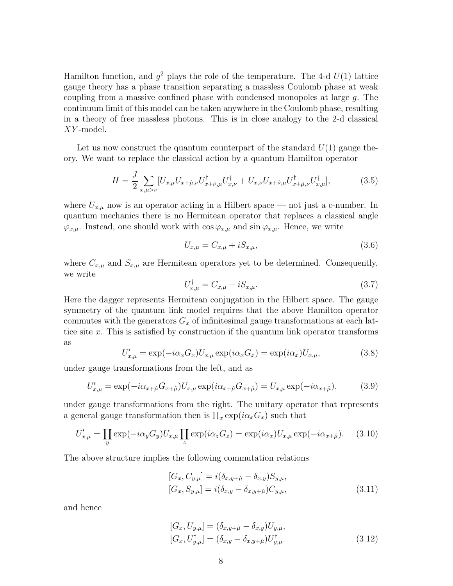Hamilton function, and  $g^2$  plays the role of the temperature. The 4-d  $U(1)$  lattice gauge theory has a phase transition separating a massless Coulomb phase at weak coupling from a massive confined phase with condensed monopoles at large g. The continuum limit of this model can be taken anywhere in the Coulomb phase, resulting in a theory of free massless photons. This is in close analogy to the 2-d classical XY -model.

Let us now construct the quantum counterpart of the standard  $U(1)$  gauge theory. We want to replace the classical action by a quantum Hamilton operator

$$
H = \frac{J}{2} \sum_{x,\mu > \nu} [U_{x,\mu} U_{x+\hat{\mu},\nu} U_{x+\hat{\nu},\mu}^\dagger U_{x,\nu}^\dagger + U_{x,\nu} U_{x+\hat{\nu},\mu} U_{x+\hat{\mu},\nu}^\dagger U_{x,\mu}^\dagger],\tag{3.5}
$$

where  $U_{x,\mu}$  now is an operator acting in a Hilbert space — not just a c-number. In quantum mechanics there is no Hermitean operator that replaces a classical angle  $\varphi_{x,\mu}$ . Instead, one should work with  $\cos \varphi_{x,\mu}$  and  $\sin \varphi_{x,\mu}$ . Hence, we write

$$
U_{x,\mu} = C_{x,\mu} + iS_{x,\mu},\tag{3.6}
$$

where  $C_{x,\mu}$  and  $S_{x,\mu}$  are Hermitean operators yet to be determined. Consequently, we write

$$
U_{x,\mu}^{\dagger} = C_{x,\mu} - iS_{x,\mu}.\tag{3.7}
$$

Here the dagger represents Hermitean conjugation in the Hilbert space. The gauge symmetry of the quantum link model requires that the above Hamilton operator commutes with the generators  $G_x$  of infinitesimal gauge transformations at each lattice site  $x$ . This is satisfied by construction if the quantum link operator transforms as

$$
U'_{x,\mu} = \exp(-i\alpha_x G_x) U_{x,\mu} \exp(i\alpha_x G_x) = \exp(i\alpha_x) U_{x,\mu}, \qquad (3.8)
$$

under gauge transformations from the left, and as

$$
U'_{x,\mu} = \exp(-i\alpha_{x+\hat{\mu}}G_{x+\hat{\mu}})U_{x,\mu}\exp(i\alpha_{x+\hat{\mu}}G_{x+\hat{\mu}}) = U_{x,\mu}\exp(-i\alpha_{x+\hat{\mu}}),\tag{3.9}
$$

under gauge transformations from the right. The unitary operator that represents a general gauge transformation then is  $\prod_x \exp(i\alpha_x G_x)$  such that

$$
U'_{x,\mu} = \prod_{y} \exp(-i\alpha_y G_y) U_{x,\mu} \prod_{z} \exp(i\alpha_z G_z) = \exp(i\alpha_x) U_{x,\mu} \exp(-i\alpha_{x+\hat{\mu}}). \tag{3.10}
$$

The above structure implies the following commutation relations

$$
[G_x, C_{y,\mu}] = i(\delta_{x,y+\hat{\mu}} - \delta_{x,y})S_{y,\mu},
$$
  
\n
$$
[G_x, S_{y,\mu}] = i(\delta_{x,y} - \delta_{x,y+\hat{\mu}})C_{y,\mu},
$$
\n(3.11)

and hence

$$
[G_x, U_{y,\mu}] = (\delta_{x,y+\hat{\mu}} - \delta_{x,y}) U_{y,\mu}, [G_x, U_{y,\mu}^{\dagger}] = (\delta_{x,y} - \delta_{x,y+\hat{\mu}}) U_{y,\mu}^{\dagger}.
$$
(3.12)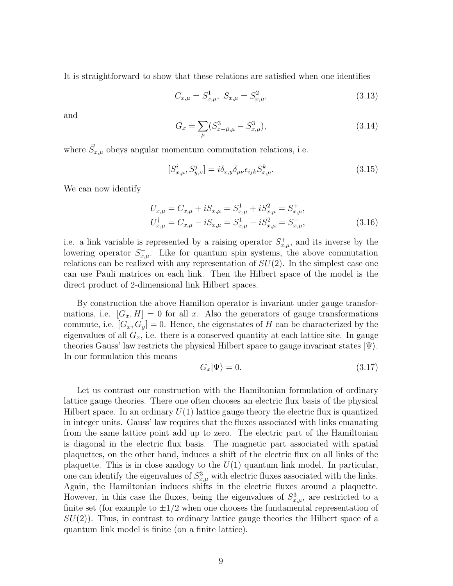It is straightforward to show that these relations are satisfied when one identifies

$$
C_{x,\mu} = S_{x,\mu}^1, \ S_{x,\mu} = S_{x,\mu}^2,\tag{3.13}
$$

and

$$
G_x = \sum_{\mu} (S_{x-\hat{\mu},\mu}^3 - S_{x,\mu}^3), \tag{3.14}
$$

where  $\vec{S}_{x,\mu}$  obeys angular momentum commutation relations, i.e.

$$
[S_{x,\mu}^i, S_{y,\nu}^j] = i\delta_{x,y}\delta_{\mu\nu}\epsilon_{ijk}S_{x,\mu}^k.
$$
\n(3.15)

We can now identify

$$
U_{x,\mu} = C_{x,\mu} + iS_{x,\mu} = S_{x,\mu}^1 + iS_{x,\mu}^2 = S_{x,\mu}^+, U_{x,\mu}^\dagger = C_{x,\mu} - iS_{x,\mu} = S_{x,\mu}^1 - iS_{x,\mu}^2 = S_{x,\mu}^-,
$$
 (3.16)

i.e. a link variable is represented by a raising operator  $S_{x,\mu}^+$ , and its inverse by the lowering operator  $S_{x,\mu}^-$ . Like for quantum spin systems, the above commutation relations can be realized with any representation of  $SU(2)$ . In the simplest case one can use Pauli matrices on each link. Then the Hilbert space of the model is the direct product of 2-dimensional link Hilbert spaces.

By construction the above Hamilton operator is invariant under gauge transformations, i.e.  $|G_x, H| = 0$  for all x. Also the generators of gauge transformations commute, i.e.  $[G_x, G_y] = 0$ . Hence, the eigenstates of H can be characterized by the eigenvalues of all  $G_x$ , i.e. there is a conserved quantity at each lattice site. In gauge theories Gauss' law restricts the physical Hilbert space to gauge invariant states  $|\Psi\rangle$ . In our formulation this means

$$
G_x|\Psi\rangle = 0.\t\t(3.17)
$$

Let us contrast our construction with the Hamiltonian formulation of ordinary lattice gauge theories. There one often chooses an electric flux basis of the physical Hilbert space. In an ordinary  $U(1)$  lattice gauge theory the electric flux is quantized in integer units. Gauss' law requires that the fluxes associated with links emanating from the same lattice point add up to zero. The electric part of the Hamiltonian is diagonal in the electric flux basis. The magnetic part associated with spatial plaquettes, on the other hand, induces a shift of the electric flux on all links of the plaquette. This is in close analogy to the  $U(1)$  quantum link model. In particular, one can identify the eigenvalues of  $S_{x,\mu}^3$  with electric fluxes associated with the links. Again, the Hamiltonian induces shifts in the electric fluxes around a plaquette. However, in this case the fluxes, being the eigenvalues of  $S_{x,\mu}^3$ , are restricted to a finite set (for example to  $\pm 1/2$  when one chooses the fundamental representation of  $SU(2)$ ). Thus, in contrast to ordinary lattice gauge theories the Hilbert space of a quantum link model is finite (on a finite lattice).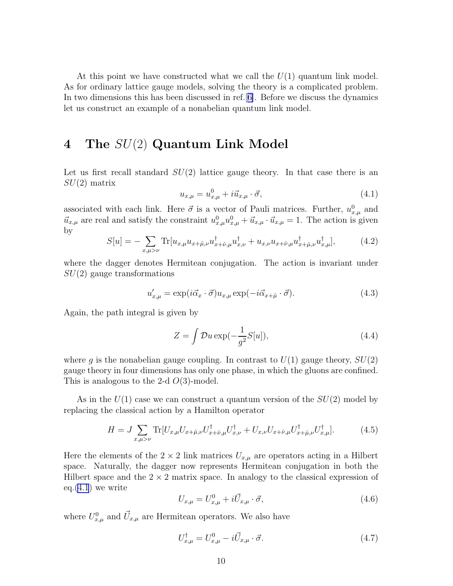At this point we have constructed what we call the  $U(1)$  quantum link model. As for ordinary lattice gauge models, solving the theory is a complicated problem. In two dimensions this has been discussed in ref.[[6\]](#page-16-0). Before we discuss the dynamics let us construct an example of a nonabelian quantum link model.

# 4 The SU(2) Quantum Link Model

Let us first recall standard  $SU(2)$  lattice gauge theory. In that case there is an  $SU(2)$  matrix

$$
u_{x,\mu} = u_{x,\mu}^0 + i\vec{u}_{x,\mu} \cdot \vec{\sigma}, \tag{4.1}
$$

associated with each link. Here  $\vec{\sigma}$  is a vector of Pauli matrices. Further,  $u_{x,\mu}^0$  and  $\vec{u}_{x,\mu}$  are real and satisfy the constraint  $u_{x,\mu}^0 u_{x,\mu}^0 + \vec{u}_{x,\mu} \cdot \vec{u}_{x,\mu} = 1$ . The action is given by

$$
S[u] = -\sum_{x,\mu > \nu} \text{Tr}[u_{x,\mu} u_{x+\hat{\mu},\nu} u_{x+\hat{\nu},\mu}^{\dagger} u_{x,\nu}^{\dagger} + u_{x,\nu} u_{x+\hat{\nu},\mu} u_{x+\hat{\mu},\nu}^{\dagger} u_{x,\mu}^{\dagger}], \tag{4.2}
$$

where the dagger denotes Hermitean conjugation. The action is invariant under  $SU(2)$  gauge transformations

$$
u'_{x,\mu} = \exp(i\vec{\alpha}_x \cdot \vec{\sigma})u_{x,\mu} \exp(-i\vec{\alpha}_{x+\hat{\mu}} \cdot \vec{\sigma}). \tag{4.3}
$$

Again, the path integral is given by

$$
Z = \int \mathcal{D}u \exp(-\frac{1}{g^2}S[u]), \qquad (4.4)
$$

where g is the nonabelian gauge coupling. In contrast to  $U(1)$  gauge theory,  $SU(2)$ gauge theory in four dimensions has only one phase, in which the gluons are confined. This is analogous to the 2-d  $O(3)$ -model.

As in the  $U(1)$  case we can construct a quantum version of the  $SU(2)$  model by replacing the classical action by a Hamilton operator

$$
H = J \sum_{x,\mu > \nu} \text{Tr}[U_{x,\mu} U_{x+\hat{\mu},\nu} U_{x+\hat{\nu},\mu}^\dagger U_{x,\nu}^\dagger + U_{x,\nu} U_{x+\hat{\nu},\mu} U_{x+\hat{\mu},\nu}^\dagger U_{x,\mu}^\dagger]. \tag{4.5}
$$

Here the elements of the  $2 \times 2$  link matrices  $U_{x,\mu}$  are operators acting in a Hilbert space. Naturally, the dagger now represents Hermitean conjugation in both the Hilbert space and the  $2 \times 2$  matrix space. In analogy to the classical expression of eq. $(4.1)$  we write

$$
U_{x,\mu} = U_{x,\mu}^0 + i\vec{U}_{x,\mu} \cdot \vec{\sigma},\tag{4.6}
$$

where  $U_{x,\mu}^0$  and  $\vec{U}_{x,\mu}$  are Hermitean operators. We also have

$$
U_{x,\mu}^{\dagger} = U_{x,\mu}^{0} - i\vec{U}_{x,\mu} \cdot \vec{\sigma}.
$$
\n(4.7)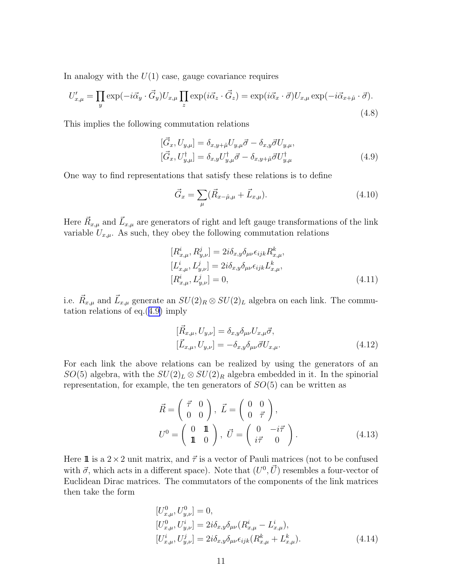In analogy with the  $U(1)$  case, gauge covariance requires

$$
U'_{x,\mu} = \prod_{y} \exp(-i\vec{\alpha}_y \cdot \vec{G}_y) U_{x,\mu} \prod_{z} \exp(i\vec{\alpha}_z \cdot \vec{G}_z) = \exp(i\vec{\alpha}_x \cdot \vec{\sigma}) U_{x,\mu} \exp(-i\vec{\alpha}_{x+\hat{\mu}} \cdot \vec{\sigma}).
$$
\n(4.8)

This implies the following commutation relations

$$
[\vec{G}_x, U_{y,\mu}] = \delta_{x,y+\hat{\mu}} U_{y,\mu} \vec{\sigma} - \delta_{x,y} \vec{\sigma} U_{y,\mu},
$$
  

$$
[\vec{G}_x, U_{y,\mu}] = \delta_{x,y} U_{y,\mu}^{\dagger} \vec{\sigma} - \delta_{x,y+\hat{\mu}} \vec{\sigma} U_{y,\mu}^{\dagger}
$$
(4.9)

One way to find representations that satisfy these relations is to define

$$
\vec{G}_x = \sum_{\mu} (\vec{R}_{x-\hat{\mu},\mu} + \vec{L}_{x,\mu}). \tag{4.10}
$$

Here  $\vec{R}_{x,\mu}$  and  $\vec{L}_{x,\mu}$  are generators of right and left gauge transformations of the link variable  $U_{x,\mu}$ . As such, they obey the following commutation relations

$$
[R_{x,\mu}^{i}, R_{y,\nu}^{j}] = 2i\delta_{x,y}\delta_{\mu\nu}\epsilon_{ijk}R_{x,\mu}^{k}, [L_{x,\mu}^{i}, L_{y,\nu}^{j}] = 2i\delta_{x,y}\delta_{\mu\nu}\epsilon_{ijk}L_{x,\mu}^{k}, [R_{x,\mu}^{i}, L_{y,\nu}^{j}] = 0,
$$
\n(4.11)

i.e.  $\vec{R}_{x,\mu}$  and  $\vec{L}_{x,\mu}$  generate an  $SU(2)_R \otimes SU(2)_L$  algebra on each link. The commutation relations of eq.(4.9) imply

$$
[\vec{R}_{x,\mu}, U_{y,\nu}] = \delta_{x,y} \delta_{\mu\nu} U_{x,\mu} \vec{\sigma},
$$
  
\n
$$
[\vec{L}_{x,\mu}, U_{y,\nu}] = -\delta_{x,y} \delta_{\mu\nu} \vec{\sigma} U_{x,\mu}.
$$
\n(4.12)

For each link the above relations can be realized by using the generators of an SO(5) algebra, with the  $SU(2)_L \otimes SU(2)_R$  algebra embedded in it. In the spinorial representation, for example, the ten generators of  $SO(5)$  can be written as

$$
\vec{R} = \begin{pmatrix} \vec{\tau} & 0 \\ 0 & 0 \end{pmatrix}, \ \vec{L} = \begin{pmatrix} 0 & 0 \\ 0 & \vec{\tau} \end{pmatrix}, \nU^0 = \begin{pmatrix} 0 & \mathbf{1} \\ \mathbf{1} & 0 \end{pmatrix}, \ \vec{U} = \begin{pmatrix} 0 & -i\vec{\tau} \\ i\vec{\tau} & 0 \end{pmatrix}.
$$
\n(4.13)

Here 1 is a  $2 \times 2$  unit matrix, and  $\vec{\tau}$  is a vector of Pauli matrices (not to be confused with  $\vec{\sigma}$ , which acts in a different space). Note that  $(U^0, \vec{U})$  resembles a four-vector of Euclidean Dirac matrices. The commutators of the components of the link matrices then take the form

$$
[U_{x,\mu}^0, U_{y,\nu}^0] = 0,[U_{x,\mu}^0, U_{y,\nu}^i] = 2i\delta_{x,y}\delta_{\mu\nu}(R_{x,\mu}^i - L_{x,\mu}^i),[U_{x,\mu}^i, U_{y,\nu}^j] = 2i\delta_{x,y}\delta_{\mu\nu}\epsilon_{ijk}(R_{x,\mu}^k + L_{x,\mu}^k).
$$
\n(4.14)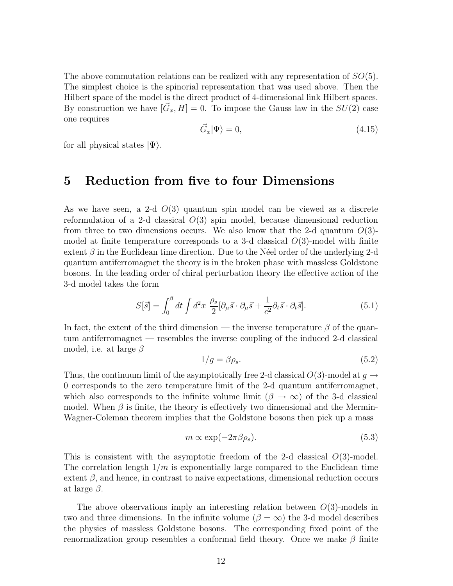<span id="page-11-0"></span>The above commutation relations can be realized with any representation of  $SO(5)$ . The simplest choice is the spinorial representation that was used above. Then the Hilbert space of the model is the direct product of 4-dimensional link Hilbert spaces. By construction we have  $[\vec{G}_x, H] = 0$ . To impose the Gauss law in the  $SU(2)$  case one requires

$$
\vec{G}_x|\Psi\rangle = 0,\t\t(4.15)
$$

for all physical states  $|\Psi\rangle$ .

#### 5 Reduction from five to four Dimensions

As we have seen, a 2-d  $O(3)$  quantum spin model can be viewed as a discrete reformulation of a 2-d classical  $O(3)$  spin model, because dimensional reduction from three to two dimensions occurs. We also know that the 2-d quantum  $O(3)$ model at finite temperature corresponds to a 3-d classical  $O(3)$ -model with finite extent  $\beta$  in the Euclidean time direction. Due to the N'eel order of the underlying 2-d quantum antiferromagnet the theory is in the broken phase with massless Goldstone bosons. In the leading order of chiral perturbation theory the effective action of the 3-d model takes the form

$$
S[\vec{s}] = \int_0^\beta dt \int d^2x \; \frac{\rho_s}{2} [\partial_\mu \vec{s} \cdot \partial_\mu \vec{s} + \frac{1}{c^2} \partial_t \vec{s} \cdot \partial_t \vec{s}]. \tag{5.1}
$$

In fact, the extent of the third dimension — the inverse temperature  $\beta$  of the quantum antiferromagnet — resembles the inverse coupling of the induced 2-d classical model, i.e. at large  $\beta$ 

$$
1/g = \beta \rho_s. \tag{5.2}
$$

Thus, the continuum limit of the asymptotically free 2-d classical  $O(3)$ -model at  $g \rightarrow$ 0 corresponds to the zero temperature limit of the 2-d quantum antiferromagnet, which also corresponds to the infinite volume limit ( $\beta \to \infty$ ) of the 3-d classical model. When  $\beta$  is finite, the theory is effectively two dimensional and the Mermin-Wagner-Coleman theorem implies that the Goldstone bosons then pick up a mass

$$
m \propto \exp(-2\pi\beta\rho_s). \tag{5.3}
$$

This is consistent with the asymptotic freedom of the 2-d classical  $O(3)$ -model. The correlation length  $1/m$  is exponentially large compared to the Euclidean time extent  $\beta$ , and hence, in contrast to naive expectations, dimensional reduction occurs at large  $\beta$ .

The above observations imply an interesting relation between  $O(3)$ -models in two and three dimensions. In the infinite volume ( $\beta = \infty$ ) the 3-d model describes the physics of massless Goldstone bosons. The corresponding fixed point of the renormalization group resembles a conformal field theory. Once we make  $\beta$  finite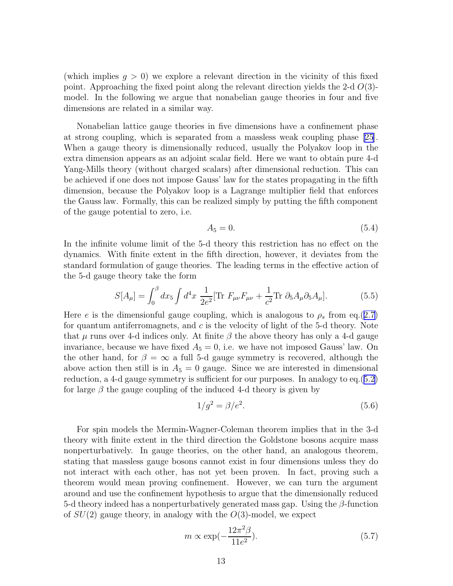(which implies  $g > 0$ ) we explore a relevant direction in the vicinity of this fixed point. Approaching the fixed point along the relevant direction yields the 2-d  $O(3)$ model. In the following we argue that nonabelian gauge theories in four and five dimensions are related in a similar way.

Nonabelian lattice gauge theories in five dimensions have a confinement phase at strong coupling, which is separated from a massless weak coupling phase [\[25\]](#page-17-0). When a gauge theory is dimensionally reduced, usually the Polyakov loop in the extra dimension appears as an adjoint scalar field. Here we want to obtain pure 4-d Yang-Mills theory (without charged scalars) after dimensional reduction. This can be achieved if one does not impose Gauss' law for the states propagating in the fifth dimension, because the Polyakov loop is a Lagrange multiplier field that enforces the Gauss law. Formally, this can be realized simply by putting the fifth component of the gauge potential to zero, i.e.

$$
A_5 = 0.\t\t(5.4)
$$

In the infinite volume limit of the 5-d theory this restriction has no effect on the dynamics. With finite extent in the fifth direction, however, it deviates from the standard formulation of gauge theories. The leading terms in the effective action of the 5-d gauge theory take the form

$$
S[A_{\mu}] = \int_0^{\beta} dx_5 \int d^4x \; \frac{1}{2e^2} [\text{Tr} \; F_{\mu\nu} F_{\mu\nu} + \frac{1}{c^2} \text{Tr} \; \partial_5 A_{\mu} \partial_5 A_{\mu}]. \tag{5.5}
$$

Here e is the dimensionful gauge coupling, which is analogous to  $\rho_s$  from eq.([2.7\)](#page-5-0) for quantum antiferromagnets, and  $c$  is the velocity of light of the 5-d theory. Note that  $\mu$  runs over 4-d indices only. At finite  $\beta$  the above theory has only a 4-d gauge invariance, because we have fixed  $A_5 = 0$ , i.e. we have not imposed Gauss' law. On the other hand, for  $\beta = \infty$  a full 5-d gauge symmetry is recovered, although the above action then still is in  $A_5 = 0$  gauge. Since we are interested in dimensional reduction, a 4-d gauge symmetry is sufficient for our purposes. In analogy to eq.([5.2\)](#page-11-0) for large  $\beta$  the gauge coupling of the induced 4-d theory is given by

$$
1/g^2 = \beta/e^2. \tag{5.6}
$$

For spin models the Mermin-Wagner-Coleman theorem implies that in the 3-d theory with finite extent in the third direction the Goldstone bosons acquire mass nonperturbatively. In gauge theories, on the other hand, an analogous theorem, stating that massless gauge bosons cannot exist in four dimensions unless they do not interact with each other, has not yet been proven. In fact, proving such a theorem would mean proving confinement. However, we can turn the argument around and use the confinement hypothesis to argue that the dimensionally reduced 5-d theory indeed has a nonperturbatively generated mass gap. Using the  $\beta$ -function of  $SU(2)$  gauge theory, in analogy with the  $O(3)$ -model, we expect

$$
m \propto \exp\left(-\frac{12\pi^2\beta}{11e^2}\right). \tag{5.7}
$$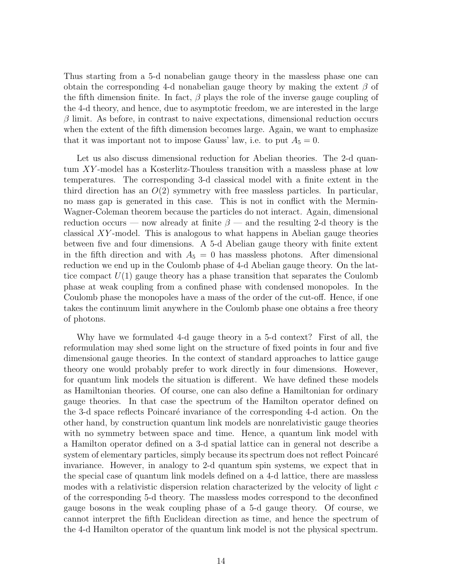Thus starting from a 5-d nonabelian gauge theory in the massless phase one can obtain the corresponding 4-d nonabelian gauge theory by making the extent  $\beta$  of the fifth dimension finite. In fact,  $\beta$  plays the role of the inverse gauge coupling of the 4-d theory, and hence, due to asymptotic freedom, we are interested in the large  $\beta$  limit. As before, in contrast to naive expectations, dimensional reduction occurs when the extent of the fifth dimension becomes large. Again, we want to emphasize that it was important not to impose Gauss' law, i.e. to put  $A_5 = 0$ .

Let us also discuss dimensional reduction for Abelian theories. The 2-d quantum XY -model has a Kosterlitz-Thouless transition with a massless phase at low temperatures. The corresponding 3-d classical model with a finite extent in the third direction has an  $O(2)$  symmetry with free massless particles. In particular, no mass gap is generated in this case. This is not in conflict with the Mermin-Wagner-Coleman theorem because the particles do not interact. Again, dimensional reduction occurs — now already at finite  $\beta$  — and the resulting 2-d theory is the classical XY -model. This is analogous to what happens in Abelian gauge theories between five and four dimensions. A 5-d Abelian gauge theory with finite extent in the fifth direction and with  $A_5 = 0$  has massless photons. After dimensional reduction we end up in the Coulomb phase of 4-d Abelian gauge theory. On the lattice compact  $U(1)$  gauge theory has a phase transition that separates the Coulomb phase at weak coupling from a confined phase with condensed monopoles. In the Coulomb phase the monopoles have a mass of the order of the cut-off. Hence, if one takes the continuum limit anywhere in the Coulomb phase one obtains a free theory of photons.

Why have we formulated 4-d gauge theory in a 5-d context? First of all, the reformulation may shed some light on the structure of fixed points in four and five dimensional gauge theories. In the context of standard approaches to lattice gauge theory one would probably prefer to work directly in four dimensions. However, for quantum link models the situation is different. We have defined these models as Hamiltonian theories. Of course, one can also define a Hamiltonian for ordinary gauge theories. In that case the spectrum of the Hamilton operator defined on the 3-d space reflects Poincaré invariance of the corresponding 4-d action. On the other hand, by construction quantum link models are nonrelativistic gauge theories with no symmetry between space and time. Hence, a quantum link model with a Hamilton operator defined on a 3-d spatial lattice can in general not describe a system of elementary particles, simply because its spectrum does not reflect Poincaré invariance. However, in analogy to 2-d quantum spin systems, we expect that in the special case of quantum link models defined on a 4-d lattice, there are massless modes with a relativistic dispersion relation characterized by the velocity of light  $c$ of the corresponding 5-d theory. The massless modes correspond to the deconfined gauge bosons in the weak coupling phase of a 5-d gauge theory. Of course, we cannot interpret the fifth Euclidean direction as time, and hence the spectrum of the 4-d Hamilton operator of the quantum link model is not the physical spectrum.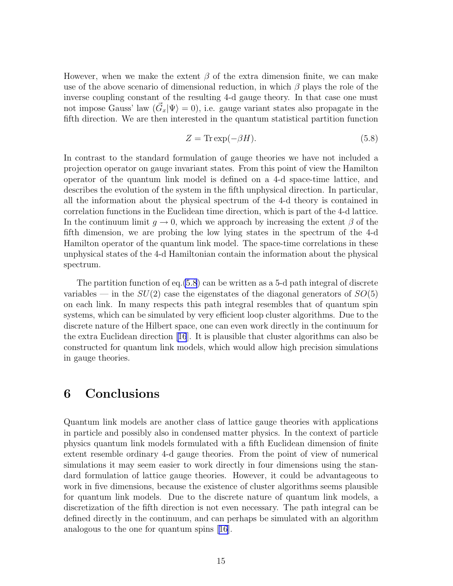However, when we make the extent  $\beta$  of the extra dimension finite, we can make use of the above scenario of dimensional reduction, in which  $\beta$  plays the role of the inverse coupling constant of the resulting 4-d gauge theory. In that case one must not impose Gauss' law  $(\vec{G}_x|\Psi\rangle = 0)$ , i.e. gauge variant states also propagate in the fifth direction. We are then interested in the quantum statistical partition function

$$
Z = \text{Tr} \exp(-\beta H). \tag{5.8}
$$

In contrast to the standard formulation of gauge theories we have not included a projection operator on gauge invariant states. From this point of view the Hamilton operator of the quantum link model is defined on a 4-d space-time lattice, and describes the evolution of the system in the fifth unphysical direction. In particular, all the information about the physical spectrum of the 4-d theory is contained in correlation functions in the Euclidean time direction, which is part of the 4-d lattice. In the continuum limit  $q \to 0$ , which we approach by increasing the extent  $\beta$  of the fifth dimension, we are probing the low lying states in the spectrum of the 4-d Hamilton operator of the quantum link model. The space-time correlations in these unphysical states of the 4-d Hamiltonian contain the information about the physical spectrum.

The partition function of eq.(5.8) can be written as a 5-d path integral of discrete variables — in the  $SU(2)$  case the eigenstates of the diagonal generators of  $SO(5)$ on each link. In many respects this path integral resembles that of quantum spin systems, which can be simulated by very efficient loop cluster algorithms. Due to the discrete nature of the Hilbert space, one can even work directly in the continuum for the extra Euclidean direction[[16](#page-16-0)]. It is plausible that cluster algorithms can also be constructed for quantum link models, which would allow high precision simulations in gauge theories.

#### 6 Conclusions

Quantum link models are another class of lattice gauge theories with applications in particle and possibly also in condensed matter physics. In the context of particle physics quantum link models formulated with a fifth Euclidean dimension of finite extent resemble ordinary 4-d gauge theories. From the point of view of numerical simulations it may seem easier to work directly in four dimensions using the standard formulation of lattice gauge theories. However, it could be advantageous to work in five dimensions, because the existence of cluster algorithms seems plausible for quantum link models. Due to the discrete nature of quantum link models, a discretization of the fifth direction is not even necessary. The path integral can be defined directly in the continuum, and can perhaps be simulated with an algorithm analogous to the one for quantum spins [\[16\]](#page-16-0).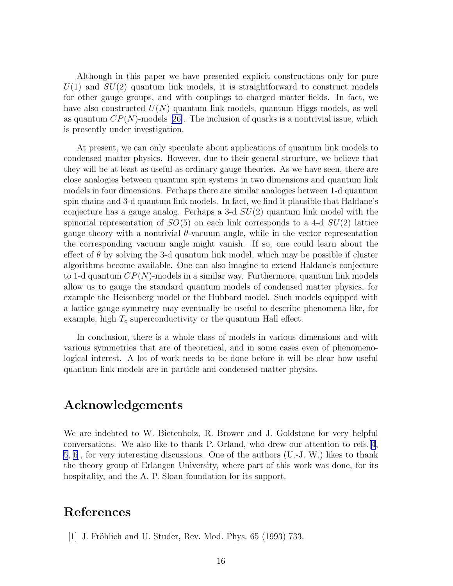<span id="page-15-0"></span>Although in this paper we have presented explicit constructions only for pure  $U(1)$  and  $SU(2)$  quantum link models, it is straightforward to construct models for other gauge groups, and with couplings to charged matter fields. In fact, we have also constructed  $U(N)$  quantum link models, quantum Higgs models, as well asquantum  $CP(N)$ -models [[26\]](#page-17-0). The inclusion of quarks is a nontrivial issue, which is presently under investigation.

At present, we can only speculate about applications of quantum link models to condensed matter physics. However, due to their general structure, we believe that they will be at least as useful as ordinary gauge theories. As we have seen, there are close analogies between quantum spin systems in two dimensions and quantum link models in four dimensions. Perhaps there are similar analogies between 1-d quantum spin chains and 3-d quantum link models. In fact, we find it plausible that Haldane's conjecture has a gauge analog. Perhaps a 3-d  $SU(2)$  quantum link model with the spinorial representation of  $SO(5)$  on each link corresponds to a 4-d  $SU(2)$  lattice gauge theory with a nontrivial θ-vacuum angle, while in the vector representation the corresponding vacuum angle might vanish. If so, one could learn about the effect of  $\theta$  by solving the 3-d quantum link model, which may be possible if cluster algorithms become available. One can also imagine to extend Haldane's conjecture to 1-d quantum  $CP(N)$ -models in a similar way. Furthermore, quantum link models allow us to gauge the standard quantum models of condensed matter physics, for example the Heisenberg model or the Hubbard model. Such models equipped with a lattice gauge symmetry may eventually be useful to describe phenomena like, for example, high  $T_c$  superconductivity or the quantum Hall effect.

In conclusion, there is a whole class of models in various dimensions and with various symmetries that are of theoretical, and in some cases even of phenomenological interest. A lot of work needs to be done before it will be clear how useful quantum link models are in particle and condensed matter physics.

#### Acknowledgements

We are indebted to W. Bietenholz, R. Brower and J. Goldstone for very helpful conversations. We also like to thank P. Orland, who drew our attention to refs.[\[4](#page-16-0), [5](#page-16-0), [6](#page-16-0)], for very interesting discussions. One of the authors (U.-J. W.) likes to thank the theory group of Erlangen University, where part of this work was done, for its hospitality, and the A. P. Sloan foundation for its support.

# References

[1] J. Fröhlich and U. Studer, Rev. Mod. Phys.  $65$  (1993) 733.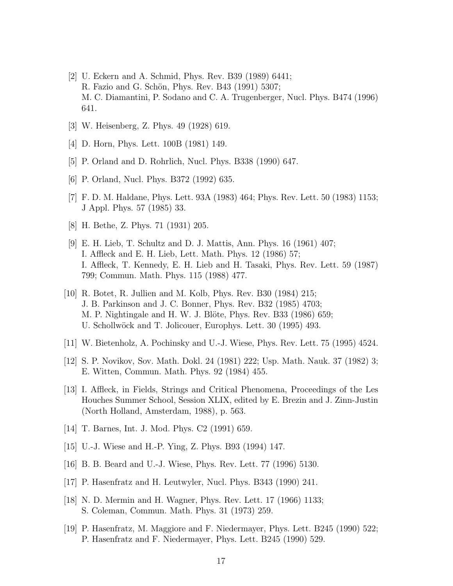- <span id="page-16-0"></span>[2] U. Eckern and A. Schmid, Phys. Rev. B39 (1989) 6441; R. Fazio and G. Schön, Phys. Rev. B43 (1991) 5307; M. C. Diamantini, P. Sodano and C. A. Trugenberger, Nucl. Phys. B474 (1996) 641.
- [3] W. Heisenberg, Z. Phys. 49 (1928) 619.
- [4] D. Horn, Phys. Lett. 100B (1981) 149.
- [5] P. Orland and D. Rohrlich, Nucl. Phys. B338 (1990) 647.
- [6] P. Orland, Nucl. Phys. B372 (1992) 635.
- [7] F. D. M. Haldane, Phys. Lett. 93A (1983) 464; Phys. Rev. Lett. 50 (1983) 1153; J Appl. Phys. 57 (1985) 33.
- [8] H. Bethe, Z. Phys. 71 (1931) 205.
- [9] E. H. Lieb, T. Schultz and D. J. Mattis, Ann. Phys. 16 (1961) 407; I. Affleck and E. H. Lieb, Lett. Math. Phys. 12 (1986) 57; I. Affleck, T. Kennedy, E. H. Lieb and H. Tasaki, Phys. Rev. Lett. 59 (1987) 799; Commun. Math. Phys. 115 (1988) 477.
- [10] R. Botet, R. Jullien and M. Kolb, Phys. Rev. B30 (1984) 215; J. B. Parkinson and J. C. Bonner, Phys. Rev. B32 (1985) 4703; M. P. Nightingale and H. W. J. Blöte, Phys. Rev. B33 (1986) 659; U. Schollwöck and T. Jolicouer, Europhys. Lett. 30 (1995) 493.
- [11] W. Bietenholz, A. Pochinsky and U.-J. Wiese, Phys. Rev. Lett. 75 (1995) 4524.
- [12] S. P. Novikov, Sov. Math. Dokl. 24 (1981) 222; Usp. Math. Nauk. 37 (1982) 3; E. Witten, Commun. Math. Phys. 92 (1984) 455.
- [13] I. Affleck, in Fields, Strings and Critical Phenomena, Proceedings of the Les Houches Summer School, Session XLIX, edited by E. Brezin and J. Zinn-Justin (North Holland, Amsterdam, 1988), p. 563.
- [14] T. Barnes, Int. J. Mod. Phys. C2 (1991) 659.
- [15] U.-J. Wiese and H.-P. Ying, Z. Phys. B93 (1994) 147.
- [16] B. B. Beard and U.-J. Wiese, Phys. Rev. Lett. 77 (1996) 5130.
- [17] P. Hasenfratz and H. Leutwyler, Nucl. Phys. B343 (1990) 241.
- [18] N. D. Mermin and H. Wagner, Phys. Rev. Lett. 17 (1966) 1133; S. Coleman, Commun. Math. Phys. 31 (1973) 259.
- [19] P. Hasenfratz, M. Maggiore and F. Niedermayer, Phys. Lett. B245 (1990) 522; P. Hasenfratz and F. Niedermayer, Phys. Lett. B245 (1990) 529.